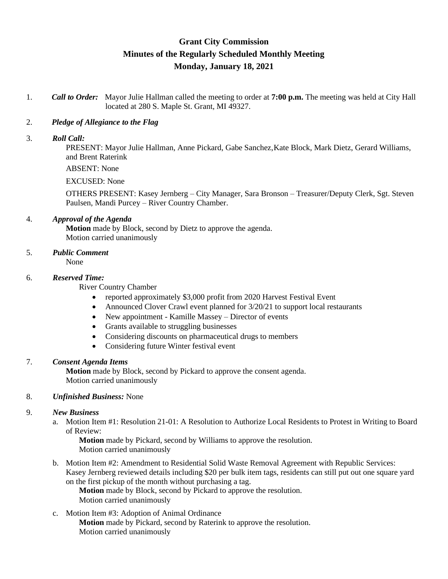# **Grant City Commission Minutes of the Regularly Scheduled Monthly Meeting Monday, January 18, 2021**

1. *Call to Order:* Mayor Julie Hallman called the meeting to order at **7:00 p.m.** The meeting was held at City Hall located at 280 S. Maple St. Grant, MI 49327.

### 2. *Pledge of Allegiance to the Flag*

#### 3. *Roll Call:*

PRESENT: Mayor Julie Hallman, Anne Pickard, Gabe Sanchez,Kate Block, Mark Dietz, Gerard Williams, and Brent Raterink

ABSENT: None

#### EXCUSED: None

OTHERS PRESENT: Kasey Jernberg – City Manager, Sara Bronson – Treasurer/Deputy Clerk, Sgt. Steven Paulsen, Mandi Purcey – River Country Chamber.

#### 4. *Approval of the Agenda*

**Motion** made by Block, second by Dietz to approve the agenda. Motion carried unanimously

## 5. *Public Comment*

None

#### 6. *Reserved Time:*

River Country Chamber

- reported approximately \$3,000 profit from 2020 Harvest Festival Event
- Announced Clover Crawl event planned for  $3/20/21$  to support local restaurants
- New appointment Kamille Massey Director of events
- Grants available to struggling businesses
- Considering discounts on pharmaceutical drugs to members
- Considering future Winter festival event

#### 7. *Consent Agenda Items*

**Motion** made by Block, second by Pickard to approve the consent agenda. Motion carried unanimously

#### 8. *Unfinished Business:* None

#### 9. *New Business*

a. Motion Item #1: Resolution 21-01: A Resolution to Authorize Local Residents to Protest in Writing to Board of Review:

**Motion** made by Pickard, second by Williams to approve the resolution. Motion carried unanimously

b. Motion Item #2: Amendment to Residential Solid Waste Removal Agreement with Republic Services: Kasey Jernberg reviewed details including \$20 per bulk item tags, residents can still put out one square yard on the first pickup of the month without purchasing a tag.

**Motion** made by Block, second by Pickard to approve the resolution. Motion carried unanimously

c. Motion Item #3: Adoption of Animal Ordinance **Motion** made by Pickard, second by Raterink to approve the resolution. Motion carried unanimously